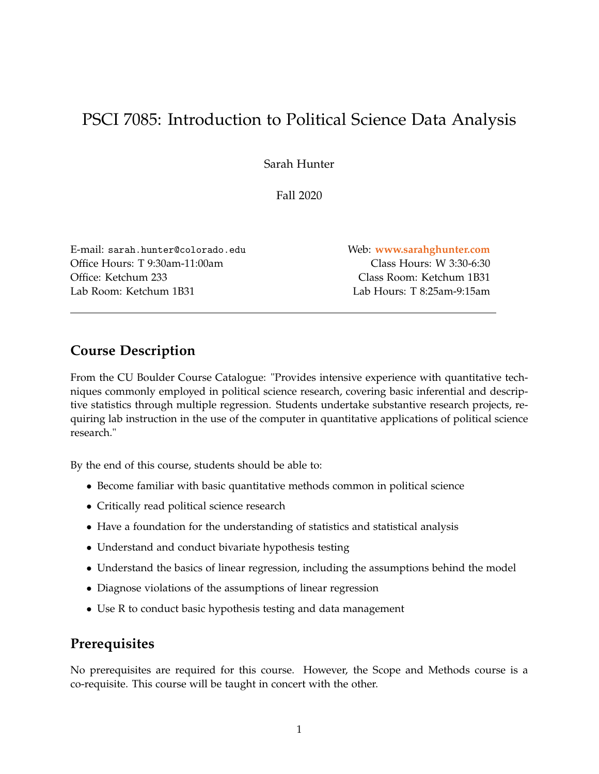# PSCI 7085: Introduction to Political Science Data Analysis

Sarah Hunter

Fall 2020

E-mail: sarah.hunter@colorado.edu Web: **<www.sarahghunter.com>** Office Hours: T 9:30am-11:00am Class Hours: W 3:30-6:30 Office: Ketchum 233 Class Room: Ketchum 1B31 Lab Room: Ketchum 1B31 Lab Hours: T 8:25am-9:15am

## **Course Description**

From the CU Boulder Course Catalogue: "Provides intensive experience with quantitative techniques commonly employed in political science research, covering basic inferential and descriptive statistics through multiple regression. Students undertake substantive research projects, requiring lab instruction in the use of the computer in quantitative applications of political science research."

By the end of this course, students should be able to:

- Become familiar with basic quantitative methods common in political science
- Critically read political science research
- Have a foundation for the understanding of statistics and statistical analysis
- Understand and conduct bivariate hypothesis testing
- Understand the basics of linear regression, including the assumptions behind the model
- Diagnose violations of the assumptions of linear regression
- Use R to conduct basic hypothesis testing and data management

## **Prerequisites**

No prerequisites are required for this course. However, the Scope and Methods course is a co-requisite. This course will be taught in concert with the other.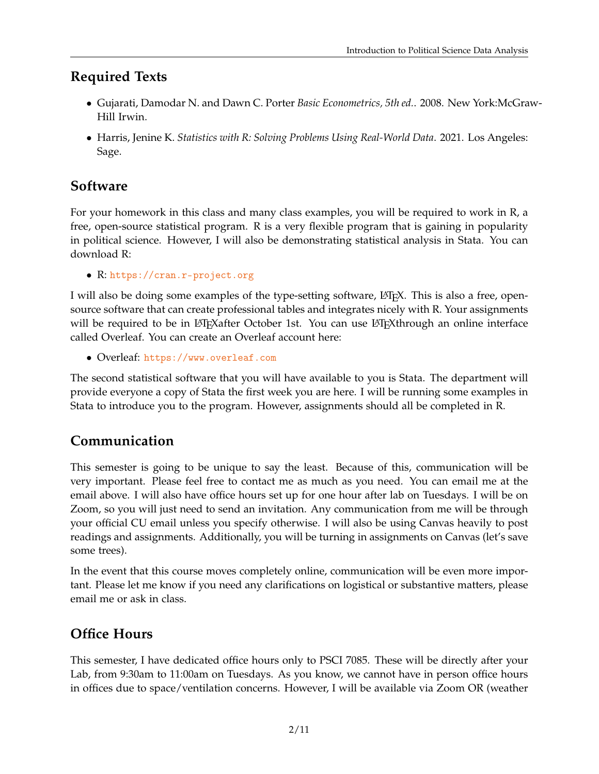# **Required Texts**

- Gujarati, Damodar N. and Dawn C. Porter *Basic Econometrics, 5th ed.*. 2008. New York:McGraw-Hill Irwin.
- Harris, Jenine K. *Statistics with R: Solving Problems Using Real-World Data*. 2021. Los Angeles: Sage.

## **Software**

For your homework in this class and many class examples, you will be required to work in R, a free, open-source statistical program. R is a very flexible program that is gaining in popularity in political science. However, I will also be demonstrating statistical analysis in Stata. You can download R:

• R: <https://cran.r-project.org>

I will also be doing some examples of the type-setting software, LATEX. This is also a free, opensource software that can create professional tables and integrates nicely with R. Your assignments will be required to be in LAT<sub>E</sub>Xafter October 1st. You can use LAT<sub>E</sub>Xthrough an online interface called Overleaf. You can create an Overleaf account here:

• Overleaf: <https://www.overleaf.com>

The second statistical software that you will have available to you is Stata. The department will provide everyone a copy of Stata the first week you are here. I will be running some examples in Stata to introduce you to the program. However, assignments should all be completed in R.

## **Communication**

This semester is going to be unique to say the least. Because of this, communication will be very important. Please feel free to contact me as much as you need. You can email me at the email above. I will also have office hours set up for one hour after lab on Tuesdays. I will be on Zoom, so you will just need to send an invitation. Any communication from me will be through your official CU email unless you specify otherwise. I will also be using Canvas heavily to post readings and assignments. Additionally, you will be turning in assignments on Canvas (let's save some trees).

In the event that this course moves completely online, communication will be even more important. Please let me know if you need any clarifications on logistical or substantive matters, please email me or ask in class.

# **Office Hours**

This semester, I have dedicated office hours only to PSCI 7085. These will be directly after your Lab, from 9:30am to 11:00am on Tuesdays. As you know, we cannot have in person office hours in offices due to space/ventilation concerns. However, I will be available via Zoom OR (weather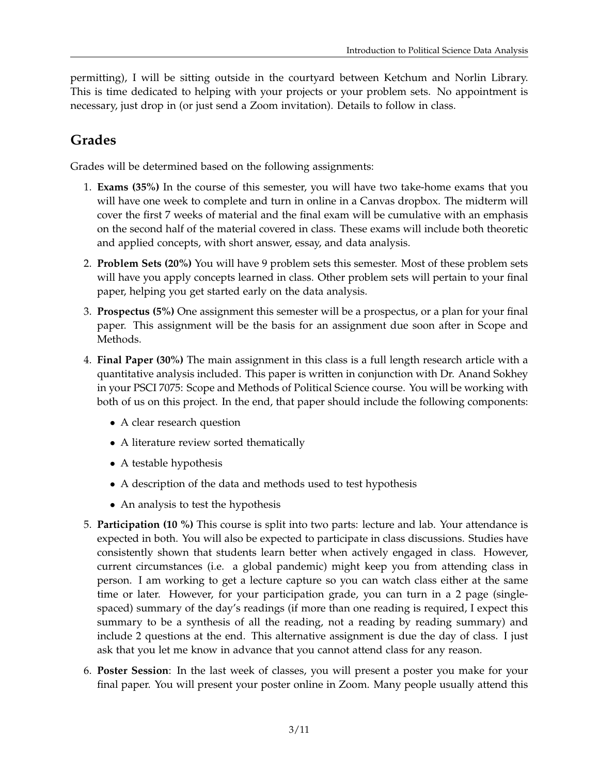permitting), I will be sitting outside in the courtyard between Ketchum and Norlin Library. This is time dedicated to helping with your projects or your problem sets. No appointment is necessary, just drop in (or just send a Zoom invitation). Details to follow in class.

# **Grades**

Grades will be determined based on the following assignments:

- 1. **Exams (35%)** In the course of this semester, you will have two take-home exams that you will have one week to complete and turn in online in a Canvas dropbox. The midterm will cover the first 7 weeks of material and the final exam will be cumulative with an emphasis on the second half of the material covered in class. These exams will include both theoretic and applied concepts, with short answer, essay, and data analysis.
- 2. **Problem Sets (20%)** You will have 9 problem sets this semester. Most of these problem sets will have you apply concepts learned in class. Other problem sets will pertain to your final paper, helping you get started early on the data analysis.
- 3. **Prospectus (5%)** One assignment this semester will be a prospectus, or a plan for your final paper. This assignment will be the basis for an assignment due soon after in Scope and Methods.
- 4. **Final Paper (30%)** The main assignment in this class is a full length research article with a quantitative analysis included. This paper is written in conjunction with Dr. Anand Sokhey in your PSCI 7075: Scope and Methods of Political Science course. You will be working with both of us on this project. In the end, that paper should include the following components:
	- A clear research question
	- A literature review sorted thematically
	- A testable hypothesis
	- A description of the data and methods used to test hypothesis
	- An analysis to test the hypothesis
- 5. **Participation (10 %)** This course is split into two parts: lecture and lab. Your attendance is expected in both. You will also be expected to participate in class discussions. Studies have consistently shown that students learn better when actively engaged in class. However, current circumstances (i.e. a global pandemic) might keep you from attending class in person. I am working to get a lecture capture so you can watch class either at the same time or later. However, for your participation grade, you can turn in a 2 page (singlespaced) summary of the day's readings (if more than one reading is required, I expect this summary to be a synthesis of all the reading, not a reading by reading summary) and include 2 questions at the end. This alternative assignment is due the day of class. I just ask that you let me know in advance that you cannot attend class for any reason.
- 6. **Poster Session**: In the last week of classes, you will present a poster you make for your final paper. You will present your poster online in Zoom. Many people usually attend this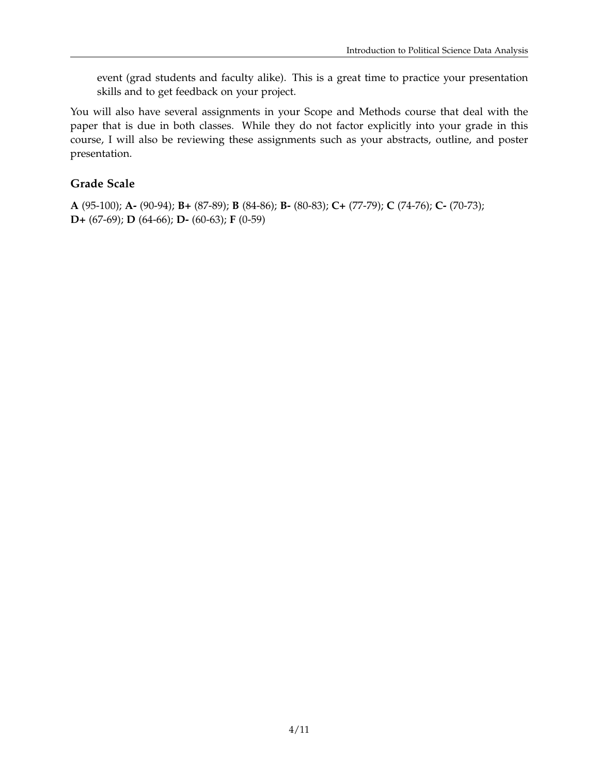event (grad students and faculty alike). This is a great time to practice your presentation skills and to get feedback on your project.

You will also have several assignments in your Scope and Methods course that deal with the paper that is due in both classes. While they do not factor explicitly into your grade in this course, I will also be reviewing these assignments such as your abstracts, outline, and poster presentation.

## **Grade Scale**

**A** (95-100); **A-** (90-94); **B+** (87-89); **B** (84-86); **B-** (80-83); **C+** (77-79); **C** (74-76); **C-** (70-73); **D+** (67-69); **D** (64-66); **D-** (60-63); **F** (0-59)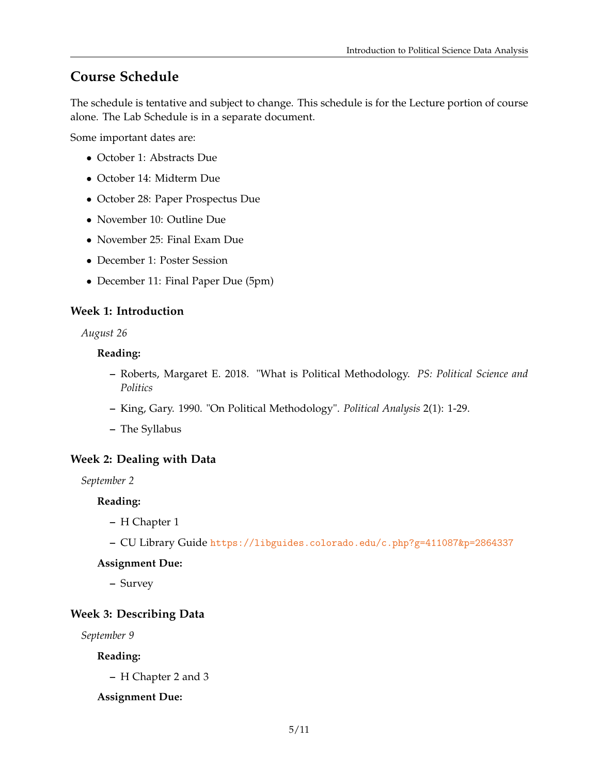## **Course Schedule**

The schedule is tentative and subject to change. This schedule is for the Lecture portion of course alone. The Lab Schedule is in a separate document.

Some important dates are:

- October 1: Abstracts Due
- October 14: Midterm Due
- October 28: Paper Prospectus Due
- November 10: Outline Due
- November 25: Final Exam Due
- December 1: Poster Session
- December 11: Final Paper Due (5pm)

### **Week 1: Introduction**

*August 26*

#### **Reading:**

- **–** Roberts, Margaret E. 2018. "What is Political Methodology. *PS: Political Science and Politics*
- **–** King, Gary. 1990. "On Political Methodology". *Political Analysis* 2(1): 1-29.
- **–** The Syllabus

### **Week 2: Dealing with Data**

*September 2*

#### **Reading:**

- **–** H Chapter 1
- **–** CU Library Guide <https://libguides.colorado.edu/c.php?g=411087&p=2864337>

#### **Assignment Due:**

**–** Survey

#### **Week 3: Describing Data**

*September 9*

**Reading:**

**–** H Chapter 2 and 3

#### **Assignment Due:**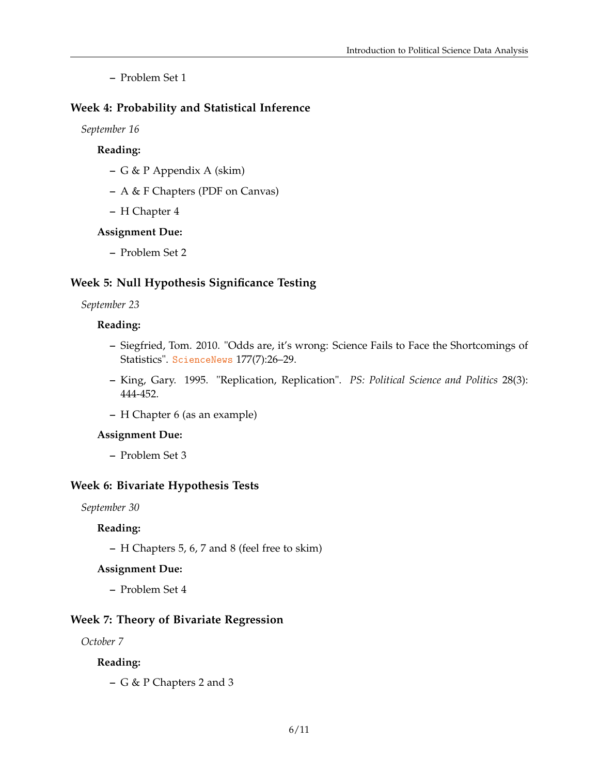**–** Problem Set 1

### **Week 4: Probability and Statistical Inference**

*September 16*

### **Reading:**

- **–** G & P Appendix A (skim)
- **–** A & F Chapters (PDF on Canvas)
- **–** H Chapter 4

#### **Assignment Due:**

**–** Problem Set 2

#### **Week 5: Null Hypothesis Significance Testing**

#### *September 23*

#### **Reading:**

- **–** Siegfried, Tom. 2010. "Odds are, it's wrong: Science Fails to Face the Shortcomings of Statistics". [ScienceNews](Science News) 177(7):26–29.
- **–** King, Gary. 1995. "Replication, Replication". *PS: Political Science and Politics* 28(3): 444-452.
- **–** H Chapter 6 (as an example)

#### **Assignment Due:**

**–** Problem Set 3

#### **Week 6: Bivariate Hypothesis Tests**

*September 30*

#### **Reading:**

**–** H Chapters 5, 6, 7 and 8 (feel free to skim)

#### **Assignment Due:**

**–** Problem Set 4

#### **Week 7: Theory of Bivariate Regression**

*October 7*

#### **Reading:**

**–** G & P Chapters 2 and 3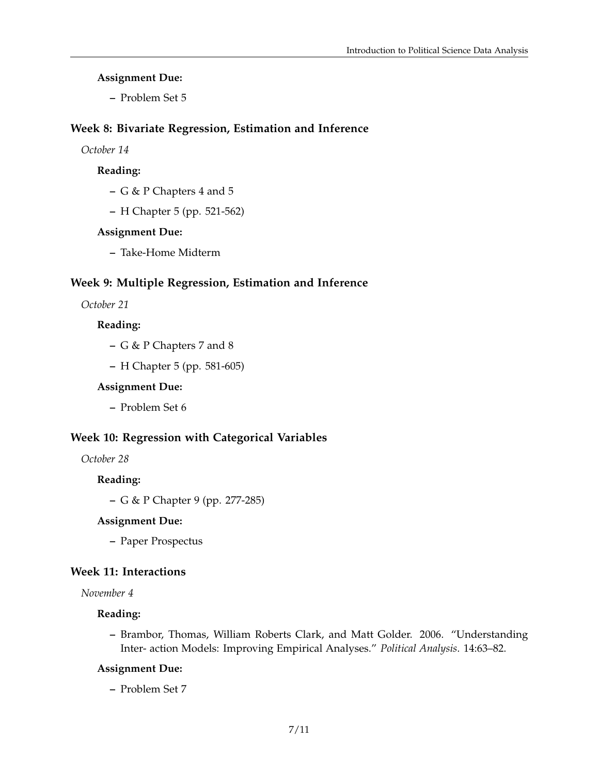#### **Assignment Due:**

**–** Problem Set 5

#### **Week 8: Bivariate Regression, Estimation and Inference**

*October 14*

#### **Reading:**

- **–** G & P Chapters 4 and 5
- **–** H Chapter 5 (pp. 521-562)

#### **Assignment Due:**

**–** Take-Home Midterm

#### **Week 9: Multiple Regression, Estimation and Inference**

*October 21*

## **Reading:**

- **–** G & P Chapters 7 and 8
- **–** H Chapter 5 (pp. 581-605)

#### **Assignment Due:**

**–** Problem Set 6

### **Week 10: Regression with Categorical Variables**

## *October 28*

#### **Reading:**

**–** G & P Chapter 9 (pp. 277-285)

#### **Assignment Due:**

**–** Paper Prospectus

### **Week 11: Interactions**

#### *November 4*

### **Reading:**

**–** Brambor, Thomas, William Roberts Clark, and Matt Golder. 2006. "Understanding Inter- action Models: Improving Empirical Analyses." *Political Analysis*. 14:63–82.

#### **Assignment Due:**

**–** Problem Set 7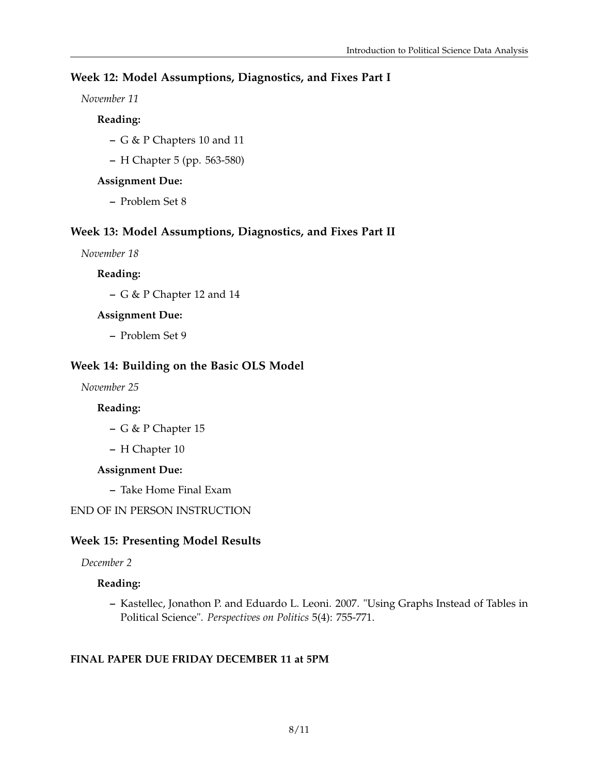## **Week 12: Model Assumptions, Diagnostics, and Fixes Part I**

### *November 11*

## **Reading:**

- **–** G & P Chapters 10 and 11
- **–** H Chapter 5 (pp. 563-580)

## **Assignment Due:**

**–** Problem Set 8

## **Week 13: Model Assumptions, Diagnostics, and Fixes Part II**

*November 18*

**Reading:**

**–** G & P Chapter 12 and 14

### **Assignment Due:**

**–** Problem Set 9

## **Week 14: Building on the Basic OLS Model**

*November 25*

### **Reading:**

- **–** G & P Chapter 15
- **–** H Chapter 10

### **Assignment Due:**

**–** Take Home Final Exam

## END OF IN PERSON INSTRUCTION

## **Week 15: Presenting Model Results**

*December 2*

### **Reading:**

**–** Kastellec, Jonathon P. and Eduardo L. Leoni. 2007. "Using Graphs Instead of Tables in Political Science". *Perspectives on Politics* 5(4): 755-771.

### **FINAL PAPER DUE FRIDAY DECEMBER 11 at 5PM**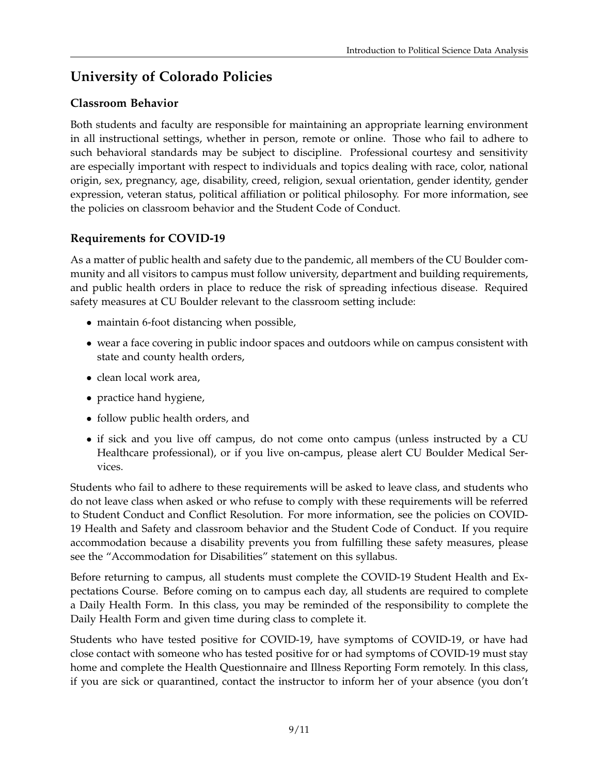# **University of Colorado Policies**

## **Classroom Behavior**

Both students and faculty are responsible for maintaining an appropriate learning environment in all instructional settings, whether in person, remote or online. Those who fail to adhere to such behavioral standards may be subject to discipline. Professional courtesy and sensitivity are especially important with respect to individuals and topics dealing with race, color, national origin, sex, pregnancy, age, disability, creed, religion, sexual orientation, gender identity, gender expression, veteran status, political affiliation or political philosophy. For more information, see the policies on classroom behavior and the Student Code of Conduct.

## **Requirements for COVID-19**

As a matter of public health and safety due to the pandemic, all members of the CU Boulder community and all visitors to campus must follow university, department and building requirements, and public health orders in place to reduce the risk of spreading infectious disease. Required safety measures at CU Boulder relevant to the classroom setting include:

- maintain 6-foot distancing when possible,
- wear a face covering in public indoor spaces and outdoors while on campus consistent with state and county health orders,
- clean local work area,
- practice hand hygiene,
- follow public health orders, and
- if sick and you live off campus, do not come onto campus (unless instructed by a CU Healthcare professional), or if you live on-campus, please alert CU Boulder Medical Services.

Students who fail to adhere to these requirements will be asked to leave class, and students who do not leave class when asked or who refuse to comply with these requirements will be referred to Student Conduct and Conflict Resolution. For more information, see the policies on COVID-19 Health and Safety and classroom behavior and the Student Code of Conduct. If you require accommodation because a disability prevents you from fulfilling these safety measures, please see the "Accommodation for Disabilities" statement on this syllabus.

Before returning to campus, all students must complete the COVID-19 Student Health and Expectations Course. Before coming on to campus each day, all students are required to complete a Daily Health Form. In this class, you may be reminded of the responsibility to complete the Daily Health Form and given time during class to complete it.

Students who have tested positive for COVID-19, have symptoms of COVID-19, or have had close contact with someone who has tested positive for or had symptoms of COVID-19 must stay home and complete the Health Questionnaire and Illness Reporting Form remotely. In this class, if you are sick or quarantined, contact the instructor to inform her of your absence (you don't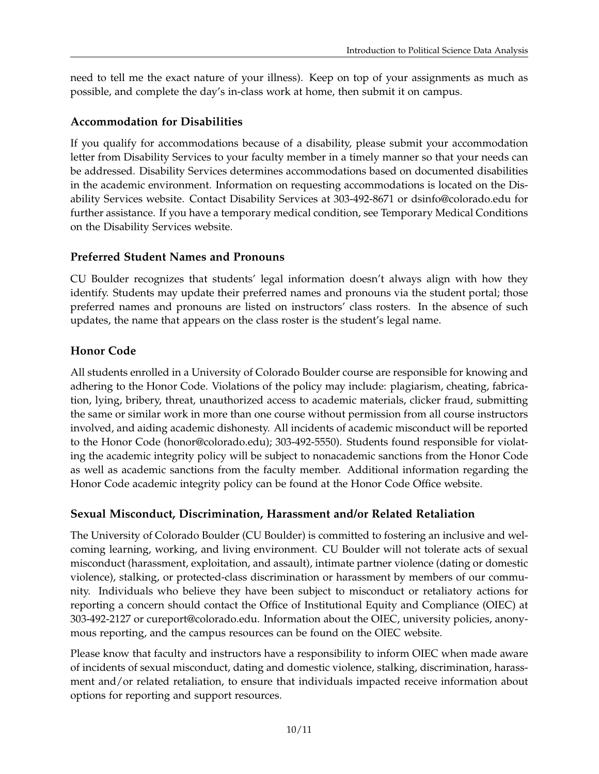need to tell me the exact nature of your illness). Keep on top of your assignments as much as possible, and complete the day's in-class work at home, then submit it on campus.

## **Accommodation for Disabilities**

If you qualify for accommodations because of a disability, please submit your accommodation letter from Disability Services to your faculty member in a timely manner so that your needs can be addressed. Disability Services determines accommodations based on documented disabilities in the academic environment. Information on requesting accommodations is located on the Disability Services website. Contact Disability Services at 303-492-8671 or dsinfo@colorado.edu for further assistance. If you have a temporary medical condition, see Temporary Medical Conditions on the Disability Services website.

## **Preferred Student Names and Pronouns**

CU Boulder recognizes that students' legal information doesn't always align with how they identify. Students may update their preferred names and pronouns via the student portal; those preferred names and pronouns are listed on instructors' class rosters. In the absence of such updates, the name that appears on the class roster is the student's legal name.

## **Honor Code**

All students enrolled in a University of Colorado Boulder course are responsible for knowing and adhering to the Honor Code. Violations of the policy may include: plagiarism, cheating, fabrication, lying, bribery, threat, unauthorized access to academic materials, clicker fraud, submitting the same or similar work in more than one course without permission from all course instructors involved, and aiding academic dishonesty. All incidents of academic misconduct will be reported to the Honor Code (honor@colorado.edu); 303-492-5550). Students found responsible for violating the academic integrity policy will be subject to nonacademic sanctions from the Honor Code as well as academic sanctions from the faculty member. Additional information regarding the Honor Code academic integrity policy can be found at the Honor Code Office website.

## **Sexual Misconduct, Discrimination, Harassment and/or Related Retaliation**

The University of Colorado Boulder (CU Boulder) is committed to fostering an inclusive and welcoming learning, working, and living environment. CU Boulder will not tolerate acts of sexual misconduct (harassment, exploitation, and assault), intimate partner violence (dating or domestic violence), stalking, or protected-class discrimination or harassment by members of our community. Individuals who believe they have been subject to misconduct or retaliatory actions for reporting a concern should contact the Office of Institutional Equity and Compliance (OIEC) at 303-492-2127 or cureport@colorado.edu. Information about the OIEC, university policies, anonymous reporting, and the campus resources can be found on the OIEC website.

Please know that faculty and instructors have a responsibility to inform OIEC when made aware of incidents of sexual misconduct, dating and domestic violence, stalking, discrimination, harassment and/or related retaliation, to ensure that individuals impacted receive information about options for reporting and support resources.